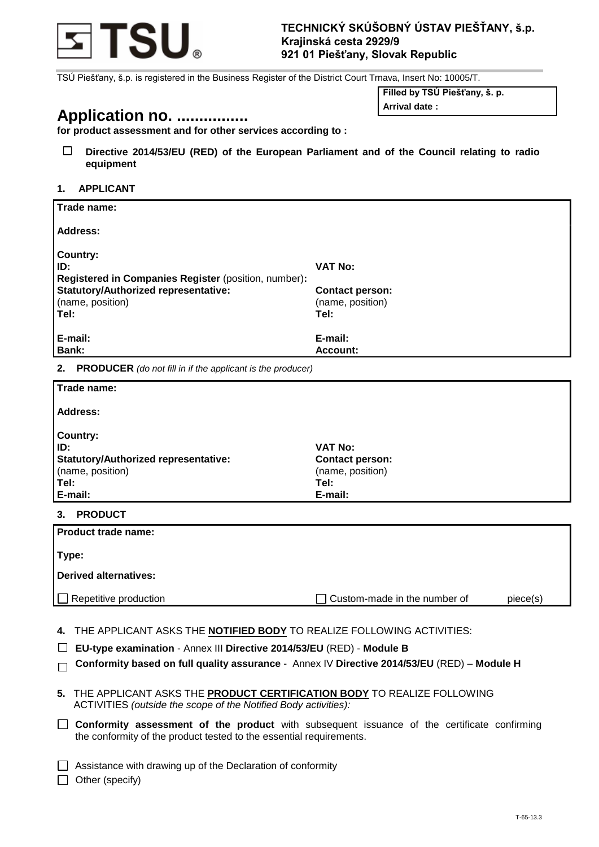

TSÚ Piešťany, š.p. is registered in the Business Register of the District Court Trnava, Insert No: 10005/T.

# **Application no. ................**

**Filled by TSÚ Piešťany, š. p.**

**Arrival date :**

**for product assessment and for other services according to :**

 $\Box$ **Directive 2014/53/EU (RED) of the European Parliament and of the Council relating to radio equipment**

## **1. APPLICANT**

| Trade name:                                          |                        |
|------------------------------------------------------|------------------------|
| Address:                                             |                        |
| <b>Country:</b>                                      |                        |
| ID:                                                  | <b>VAT No:</b>         |
| Registered in Companies Register (position, number): |                        |
| <b>Statutory/Authorized representative:</b>          | <b>Contact person:</b> |
| (name, position)                                     | (name, position)       |
| Tel:                                                 | Tel:                   |
| E-mail:                                              | E-mail:                |
| Bank:                                                | Account:               |

**2. PRODUCER** *(do not fill in if the applicant is the producer)*

| Trade name:                                 |                        |
|---------------------------------------------|------------------------|
| <b>Address:</b>                             |                        |
| <b>Country:</b>                             |                        |
| ID:                                         | VAT No:                |
| <b>Statutory/Authorized representative:</b> | <b>Contact person:</b> |
| (name, position)                            | (name, position)       |
| Tel:                                        | Tel:                   |
| E-mail:                                     | E-mail:                |
| <b>DDODIICT</b><br>2                        |                        |

# **3. PRODUCT**

| <b>Product trade name:</b>   |                              |          |
|------------------------------|------------------------------|----------|
| Type:                        |                              |          |
| Derived alternatives:        |                              |          |
| $\Box$ Repetitive production | Custom-made in the number of | piece(s) |

**4.** THE APPLICANT ASKS THE **NOTIFIED BODY** TO REALIZE FOLLOWING ACTIVITIES:

- **EU-type examination**  Annex III **Directive 2014/53/EU** (RED) **Module B**
- **Conformity based on full quality assurance**  Annex IV **Directive 2014/53/EU** (RED) **Module H**
- **5.** THE APPLICANT ASKS THE **PRODUCT CERTIFICATION BODY** TO REALIZE FOLLOWING ACTIVITIES *(outside the scope of the Notified Body activities):*
- **Conformity assessment of the product** with subsequent issuance of the certificate confirming the conformity of the product tested to the essential requirements.

 $\Box$  Assistance with drawing up of the Declaration of conformity

 $\Box$  Other (specify)